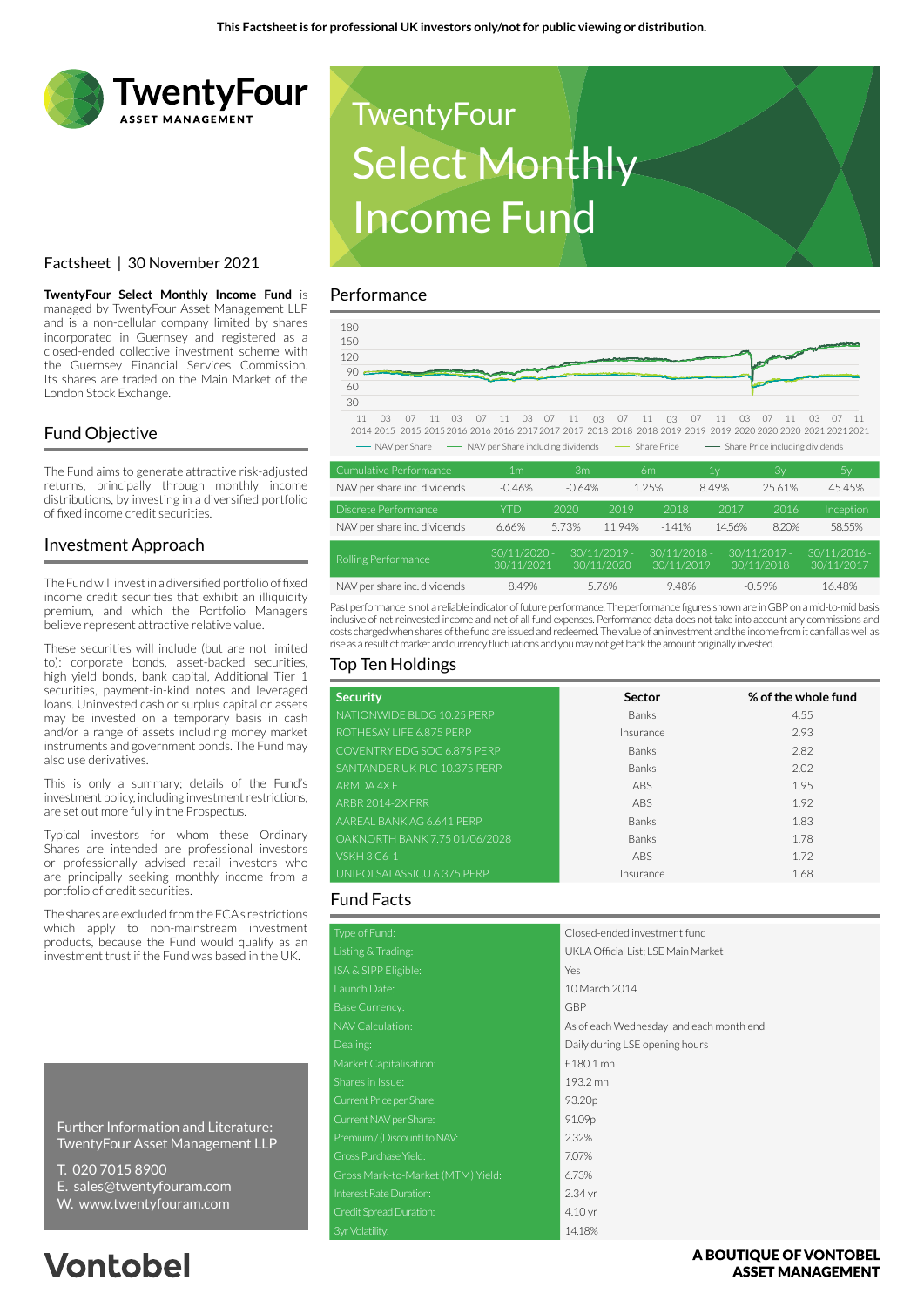

## Factsheet | 30 November 2021

**TwentyFour Select Monthly Income Fund** is managed by TwentyFour Asset Management LLP and is a non-cellular company limited by shares incorporated in Guernsey and registered as a closed-ended collective investment scheme with the Guernsey Financial Services Commission. Its shares are traded on the Main Market of the London Stock Exchange.

## Fund Objective

The Fund aims to generate attractive risk-adjusted returns, principally through monthly income distributions, by investing in a diversified portfolio of fixed income credit securities.

## Investment Approach

The Fund will invest in a diversified portfolio of fixed income credit securities that exhibit an illiquidity premium, and which the Portfolio Managers believe represent attractive relative value.

These securities will include (but are not limited to): corporate bonds, asset-backed securities, high yield bonds, bank capital, Additional Tier 1 securities, payment-in-kind notes and leveraged loans. Uninvested cash or surplus capital or assets may be invested on a temporary basis in cash and/or a range of assets including money market instruments and government bonds. The Fund may also use derivatives.

This is only a summary; details of the Fund's investment policy, including investment restrictions, are set out more fully in the Prospectus.

Typical investors for whom these Ordinary Shares are intended are professional investors or professionally advised retail investors who are principally seeking monthly income from a portfolio of credit securities.

The shares are excluded from the FCA's restrictions which apply to non-mainstream investment products, because the Fund would qualify as an investment trust if the Fund was based in the UK.

Further Information and Literature: TwentyFour Asset Management LLP

- T. 020 7015 8900
- E. sales@twentyfouram.com
- W. www.twentyfouram.com

# **Vontobel**



### Performance



| Cumulative Performance.      | .                            | ۱۱۱ اک   |                              | -0111                        | ΤΛ     | o۷                           | IJγ                          |
|------------------------------|------------------------------|----------|------------------------------|------------------------------|--------|------------------------------|------------------------------|
| NAV per share inc. dividends | $-0.46%$                     | $-0.64%$ |                              | 1.25%                        | 8.49%  | 25.61%                       | 45.45%                       |
| Discrete Performance         | YTD                          | 2020     | 2019                         | 2018                         | 2017   | 2016                         | Inception                    |
| NAV per share inc. dividends | 6.66%                        | 5.73%    | 11.94%                       | $-1.41%$                     | 14.56% | 8.20%                        | 58.55%                       |
| Rolling Performance          | $30/11/2020 -$<br>30/11/2021 |          | $30/11/2019 -$<br>30/11/2020 | $30/11/2018 -$<br>30/11/2019 |        | $30/11/2017 -$<br>30/11/2018 | $30/11/2016 -$<br>30/11/2017 |
| NAV per share inc. dividends | 8.49%                        |          | 5.76%                        | 9.48%                        |        | $-0.59%$                     | 16.48%                       |

Past performance is not a reliable indicator of future performance. The performance figures shown are in GBP on a mid-to-mid basis inclusive of net reinvested income and net of all fund expenses. Performance data does not take into account any commissions and costs charged when shares of the fund are issued and redeemed. The value of an investment and the income from it can fall as well as rise as a result of market and currency fluctuations and you may not get back the amount originally invested.

## Top Ten Holdings

| <b>Security</b>               | Sector       | % of the whole fund |
|-------------------------------|--------------|---------------------|
| NATIONWIDE BLDG 10.25 PERP    | <b>Banks</b> | 4.55                |
| ROTHESAY LIFE 6.875 PERP      | Insurance    | 2.93                |
| COVENTRY BDG SOC 6.875 PERP   | <b>Banks</b> | 2.82                |
| SANTANDER UK PLC 10.375 PERP  | <b>Banks</b> | 2.02                |
| ARMDA 4X F                    | <b>ABS</b>   | 1.95                |
| <b>ARBR 2014-2X FRR</b>       | <b>ABS</b>   | 1.92                |
| AAREAL BANK AG 6.641 PERP     | <b>Banks</b> | 1.83                |
| OAKNORTH BANK 7.75 01/06/2028 | <b>Banks</b> | 1.78                |
| <b>VSKH 3 C6-1</b>            | ABS          | 1.72                |
| UNIPOLSAI ASSICU 6.375 PERP   | Insurance    | 1.68                |

### Fund Facts

| Type of Fund:                     | Closed-ended investment fund            |
|-----------------------------------|-----------------------------------------|
| Listing & Trading:                | UKLA Official List: LSE Main Market     |
| ISA & SIPP Eligible:              | Yes                                     |
| Launch Date:                      | 10 March 2014                           |
| <b>Base Currency:</b>             | <b>GBP</b>                              |
| <b>NAV Calculation:</b>           | As of each Wednesday and each month end |
| Dealing:                          | Daily during LSE opening hours          |
| Market Capitalisation:            | £180.1 mn                               |
| Shares in Issue:                  | 193.2 mn                                |
| Current Price per Share:          | 93.20 <sub>p</sub>                      |
| Current NAV per Share:            | 91.09p                                  |
| Premium / (Discount) to NAV:      | 2.32%                                   |
| Gross Purchase Yield:             | 7.07%                                   |
| Gross Mark-to-Market (MTM) Yield: | 6.73%                                   |
| Interest Rate Duration:           | 2.34 yr                                 |
| Credit Spread Duration:           | 4.10 <sub>yr</sub>                      |
| 3yr Volatility:                   | 14.18%                                  |

A BOUTIOUE OF VONTOBEL **ASSET MANAGEMENT**